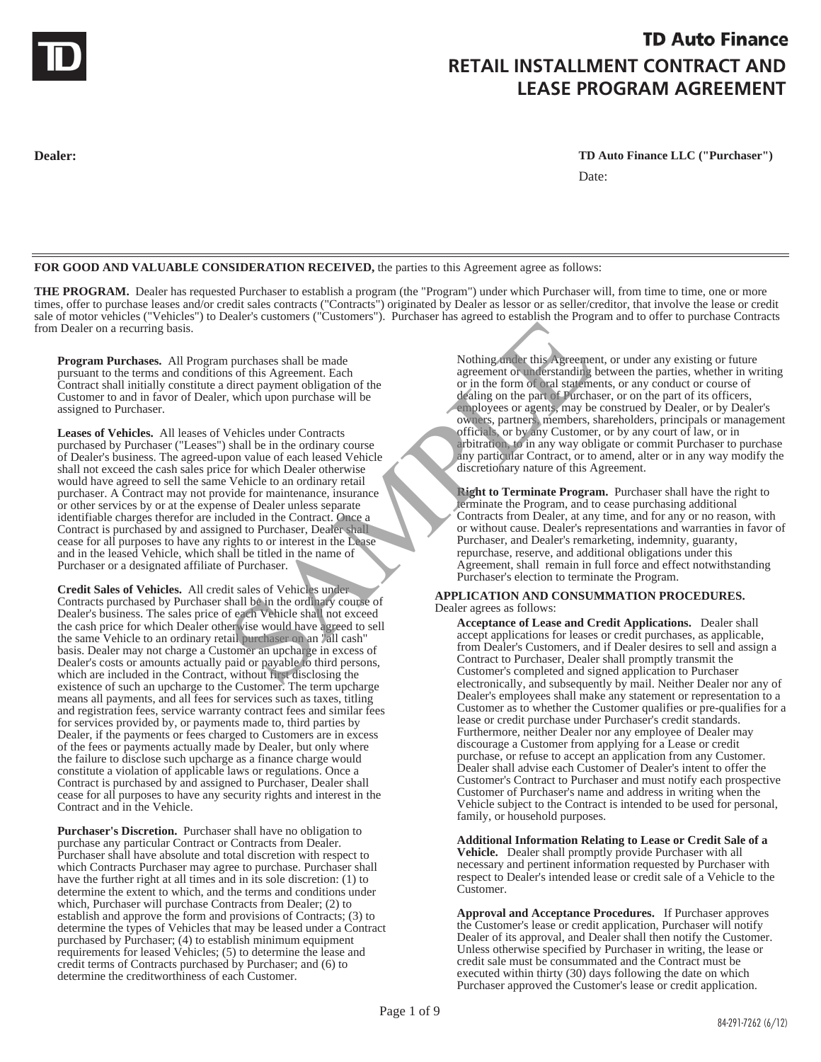

# **TD Auto Finance RETAIL INSTALLMENT CONTRACT AND LEASE PROGRAM AGREEMENT**

**Dealer: TD Auto Finance LLC ("Purchaser")** Date:

**FOR GOOD AND VALUABLE CONSIDERATION RECEIVED,** the parties to this Agreement agree as follows:

THE PROGRAM. Dealer has requested Purchaser to establish a program (the "Program") under which Purchaser will, from time to time, one or more times, offer to purchase leases and/or credit sales contracts ("Contracts") originated by Dealer as lessor or as seller/creditor, that involve the lease or credit sale of motor vehicles ("Vehicles") to Dealer's customers ("Customers"). Purchaser has agreed to establish the Program and to offer to purchase Contracts from Dealer on a recurring basis.

**Program Purchases.** All Program purchases shall be made pursuant to the terms and conditions of this Agreement. Each Contract shall initially constitute a direct payment obligation of the Customer to and in favor of Dealer, which upon purchase will be assigned to Purchaser.

**Leases of Vehicles.** All leases of Vehicles under Contracts purchased by Purchaser ("Leases") shall be in the ordinary course of Dealer's business. The agreed-upon value of each leased Vehicle shall not exceed the cash sales price for which Dealer otherwise would have agreed to sell the same Vehicle to an ordinary retail purchaser. A Contract may not provide for maintenance, insurance or other services by or at the expense of Dealer unless separate identifiable charges therefor are included in the Contract. Once a Contract is purchased by and assigned to Purchaser, Dealer shall cease for all purposes to have any rights to or interest in the Lease and in the leased Vehicle, which shall be titled in the name of Purchaser or a designated affiliate of Purchaser. Example the state of this Agreement Each and Delay and the Mothing and the state of this Agreement Castern and the state of the state of the state of the state of the state of the state of the state of the state of the sta

**Credit Sales of Vehicles.** All credit sales of Vehicles under Contracts purchased by Purchaser shall be in the ordinary course of Dealer's business. The sales price of each Vehicle shall not exceed the cash price for which Dealer otherwise would have agreed to sell the same Vehicle to an ordinary retail purchaser on an "all cash" basis. Dealer may not charge a Customer an upcharge in excess of Dealer's costs or amounts actually paid or payable to third persons, which are included in the Contract, without first disclosing the existence of such an upcharge to the Customer. The term upcharge means all payments, and all fees for services such as taxes, titling and registration fees, service warranty contract fees and similar fees for services provided by, or payments made to, third parties by Dealer, if the payments or fees charged to Customers are in excess of the fees or payments actually made by Dealer, but only where the failure to disclose such upcharge as a finance charge would constitute a violation of applicable laws or regulations. Once a Contract is purchased by and assigned to Purchaser, Dealer shall cease for all purposes to have any security rights and interest in the Contract and in the Vehicle.

**Purchaser's Discretion.** Purchaser shall have no obligation to purchase any particular Contract or Contracts from Dealer. Purchaser shall have absolute and total discretion with respect to which Contracts Purchaser may agree to purchase. Purchaser shall have the further right at all times and in its sole discretion: (1) to determine the extent to which, and the terms and conditions under which, Purchaser will purchase Contracts from Dealer; (2) to establish and approve the form and provisions of Contracts; (3) to determine the types of Vehicles that may be leased under a Contract purchased by Purchaser; (4) to establish minimum equipment requirements for leased Vehicles; (5) to determine the lease and credit terms of Contracts purchased by Purchaser; and (6) to determine the creditworthiness of each Customer.

Nothing under this Agreement, or under any existing or future agreement or understanding between the parties, whether in writing or in the form of oral statements, or any conduct or course of dealing on the part of Purchaser, or on the part of its officers, employees or agents, may be construed by Dealer, or by Dealer's owners, partners, members, shareholders, principals or management officials, or by any Customer, or by any court of law, or in arbitration, to in any way obligate or commit Purchaser to purchase any particular Contract, or to amend, alter or in any way modify the discretionary nature of this Agreement.

l, **Right to Terminate Program.** Purchaser shall have the right to terminate the Program, and to cease purchasing additional Contracts from Dealer, at any time, and for any or no reason, with or without cause. Dealer's representations and warranties in favor of Purchaser, and Dealer's remarketing, indemnity, guaranty, repurchase, reserve, and additional obligations under this Agreement, shall remain in full force and effect notwithstanding Purchaser's election to terminate the Program.

### **APPLICATION AND CONSUMMATION PROCEDURES.**  Dealer agrees as follows:

**Acceptance of Lease and Credit Applications.** Dealer shall accept applications for leases or credit purchases, as applicable, from Dealer's Customers, and if Dealer desires to sell and assign a Contract to Purchaser, Dealer shall promptly transmit the Customer's completed and signed application to Purchaser electronically, and subsequently by mail. Neither Dealer nor any of Dealer's employees shall make any statement or representation to a Customer as to whether the Customer qualifies or pre-qualifies for a lease or credit purchase under Purchaser's credit standards. Furthermore, neither Dealer nor any employee of Dealer may discourage a Customer from applying for a Lease or credit purchase, or refuse to accept an application from any Customer. Dealer shall advise each Customer of Dealer's intent to offer the Customer's Contract to Purchaser and must notify each prospective Customer of Purchaser's name and address in writing when the Vehicle subject to the Contract is intended to be used for personal, family, or household purposes.

**Additional Information Relating to Lease or Credit Sale of a Vehicle.** Dealer shall promptly provide Purchaser with all necessary and pertinent information requested by Purchaser with respect to Dealer's intended lease or credit sale of a Vehicle to the Customer.

**Approval and Acceptance Procedures.** If Purchaser approves the Customer's lease or credit application, Purchaser will notify Dealer of its approval, and Dealer shall then notify the Customer. Unless otherwise specified by Purchaser in writing, the lease or credit sale must be consummated and the Contract must be executed within thirty (30) days following the date on which Purchaser approved the Customer's lease or credit application.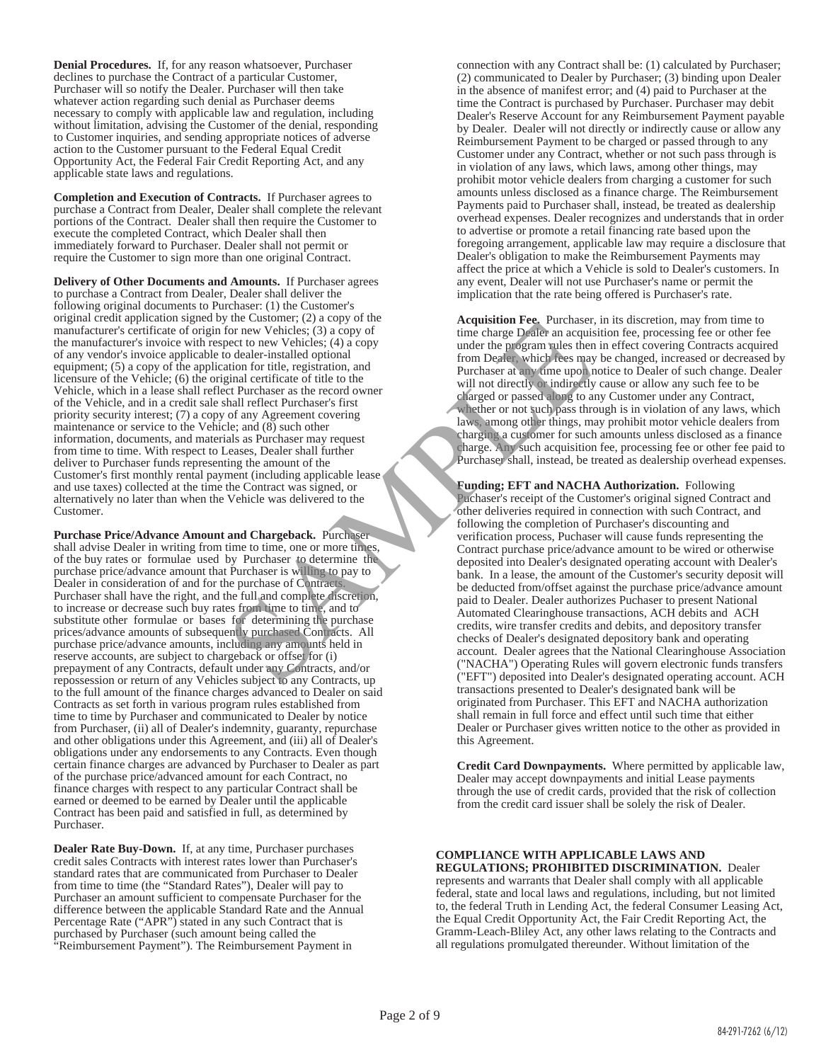**Denial Procedures.** If, for any reason whatsoever, Purchaser declines to purchase the Contract of a particular Customer, Purchaser will so notify the Dealer. Purchaser will then take whatever action regarding such denial as Purchaser deems necessary to comply with applicable law and regulation, including without limitation, advising the Customer of the denial, responding to Customer inquiries, and sending appropriate notices of adverse action to the Customer pursuant to the Federal Equal Credit Opportunity Act, the Federal Fair Credit Reporting Act, and any applicable state laws and regulations.

**Completion and Execution of Contracts.** If Purchaser agrees to purchase a Contract from Dealer, Dealer shall complete the relevant portions of the Contract. Dealer shall then require the Customer to execute the completed Contract, which Dealer shall then immediately forward to Purchaser. Dealer shall not permit or require the Customer to sign more than one original Contract.

**Delivery of Other Documents and Amounts.** If Purchaser agrees to purchase a Contract from Dealer, Dealer shall deliver the following original documents to Purchaser: (1) the Customer's original credit application signed by the Customer; (2) a copy of the manufacturer's certificate of origin for new Vehicles; (3) a copy of the manufacturer's invoice with respect to new Vehicles; (4) a copy of any vendor's invoice applicable to dealer-installed optional equipment; (5) a copy of the application for title, registration, and licensure of the Vehicle; (6) the original certificate of title to the Vehicle, which in a lease shall reflect Purchaser as the record owner of the Vehicle, and in a credit sale shall reflect Purchaser's first priority security interest; (7) a copy of any Agreement covering maintenance or service to the Vehicle; and (8) such other information, documents, and materials as Purchaser may request from time to time. With respect to Leases, Dealer shall further deliver to Purchaser funds representing the amount of the Customer's first monthly rental payment (including applicable lease and use taxes) collected at the time the Contract was signed, or alternatively no later than when the Vehicle was delivered to the Customer. The Customer; (2) a copy of the custom and Chargeback (5) a copy of the custom of the expectation of the expectation, and the program which are the program when the program when the program when the program when the progra

**Purchase Price/Advance Amount and Chargeback.** Purchaser shall advise Dealer in writing from time to time, one or more times, of the buy rates or formulae used by Purchaser to determine the purchase price/advance amount that Purchaser is willing to pay to Dealer in consideration of and for the purchase of Contract Purchaser shall have the right, and the full and complete discretion, to increase or decrease such buy rates from time to time, and to substitute other formulae or bases for determining the purchase prices/advance amounts of subsequently purchased Contracts. All purchase price/advance amounts, including any amounts held in reserve accounts, are subject to chargeback or offset for (i) prepayment of any Contracts, default under any Contracts, and/or repossession or return of any Vehicles subject to any Contracts, up to the full amount of the finance charges advanced to Dealer on said Contracts as set forth in various program rules established from time to time by Purchaser and communicated to Dealer by notice from Purchaser, (ii) all of Dealer's indemnity, guaranty, repurchase and other obligations under this Agreement, and (iii) all of Dealer's obligations under any endorsements to any Contracts. Even though certain finance charges are advanced by Purchaser to Dealer as part of the purchase price/advanced amount for each Contract, no finance charges with respect to any particular Contract shall be earned or deemed to be earned by Dealer until the applicable Contract has been paid and satisfied in full, as determined by Purchaser.

**Dealer Rate Buy-Down.** If, at any time, Purchaser purchases credit sales Contracts with interest rates lower than Purchaser's standard rates that are communicated from Purchaser to Dealer from time to time (the "Standard Rates"), Dealer will pay to Purchaser an amount sufficient to compensate Purchaser for the difference between the applicable Standard Rate and the Annual Percentage Rate ("APR") stated in any such Contract that is purchased by Purchaser (such amount being called the "Reimbursement Payment"). The Reimbursement Payment in

connection with any Contract shall be: (1) calculated by Purchaser; (2) communicated to Dealer by Purchaser; (3) binding upon Dealer in the absence of manifest error; and (4) paid to Purchaser at the time the Contract is purchased by Purchaser. Purchaser may debit Dealer's Reserve Account for any Reimbursement Payment payable by Dealer. Dealer will not directly or indirectly cause or allow any Reimbursement Payment to be charged or passed through to any Customer under any Contract, whether or not such pass through is in violation of any laws, which laws, among other things, may prohibit motor vehicle dealers from charging a customer for such amounts unless disclosed as a finance charge. The Reimbursement Payments paid to Purchaser shall, instead, be treated as dealership overhead expenses. Dealer recognizes and understands that in order to advertise or promote a retail financing rate based upon the foregoing arrangement, applicable law may require a disclosure that Dealer's obligation to make the Reimbursement Payments may affect the price at which a Vehicle is sold to Dealer's customers. In any event, Dealer will not use Purchaser's name or permit the implication that the rate being offered is Purchaser's rate.

**Acquisition Fee.** Purchaser, in its discretion, may from time to time charge Dealer an acquisition fee, processing fee or other fee under the program rules then in effect covering Contracts acquired from Dealer, which fees may be changed, increased or decreased by Purchaser at any time upon notice to Dealer of such change. Dealer will not directly or indirectly cause or allow any such fee to be charged or passed along to any Customer under any Contract, whether or not such pass through is in violation of any laws, which laws, among other things, may prohibit motor vehicle dealers from charging a customer for such amounts unless disclosed as a finance charge. Any such acquisition fee, processing fee or other fee paid to Purchaser shall, instead, be treated as dealership overhead expenses.

**Funding; EFT and NACHA Authorization.** Following Puchaser's receipt of the Customer's original signed Contract and other deliveries required in connection with such Contract, and following the completion of Purchaser's discounting and verification process, Puchaser will cause funds representing the Contract purchase price/advance amount to be wired or otherwise deposited into Dealer's designated operating account with Dealer's bank. In a lease, the amount of the Customer's security deposit will be deducted from/offset against the purchase price/advance amount paid to Dealer. Dealer authorizes Puchaser to present National Automated Clearinghouse transactions, ACH debits and ACH credits, wire transfer credits and debits, and depository transfer checks of Dealer's designated depository bank and operating account. Dealer agrees that the National Clearinghouse Association ("NACHA") Operating Rules will govern electronic funds transfers ("EFT") deposited into Dealer's designated operating account. ACH transactions presented to Dealer's designated bank will be originated from Purchaser. This EFT and NACHA authorization shall remain in full force and effect until such time that either Dealer or Purchaser gives written notice to the other as provided in this Agreement.

**Credit Card Downpayments.** Where permitted by applicable law, Dealer may accept downpayments and initial Lease payments through the use of credit cards, provided that the risk of collection from the credit card issuer shall be solely the risk of Dealer.

#### **COMPLIANCE WITH APPLICABLE LAWS AND REGULATIONS; PROHIBITED DISCRIMINATION.** Dealer

represents and warrants that Dealer shall comply with all applicable federal, state and local laws and regulations, including, but not limited to, the federal Truth in Lending Act, the federal Consumer Leasing Act, the Equal Credit Opportunity Act, the Fair Credit Reporting Act, the Gramm-Leach-Bliley Act, any other laws relating to the Contracts and all regulations promulgated thereunder. Without limitation of the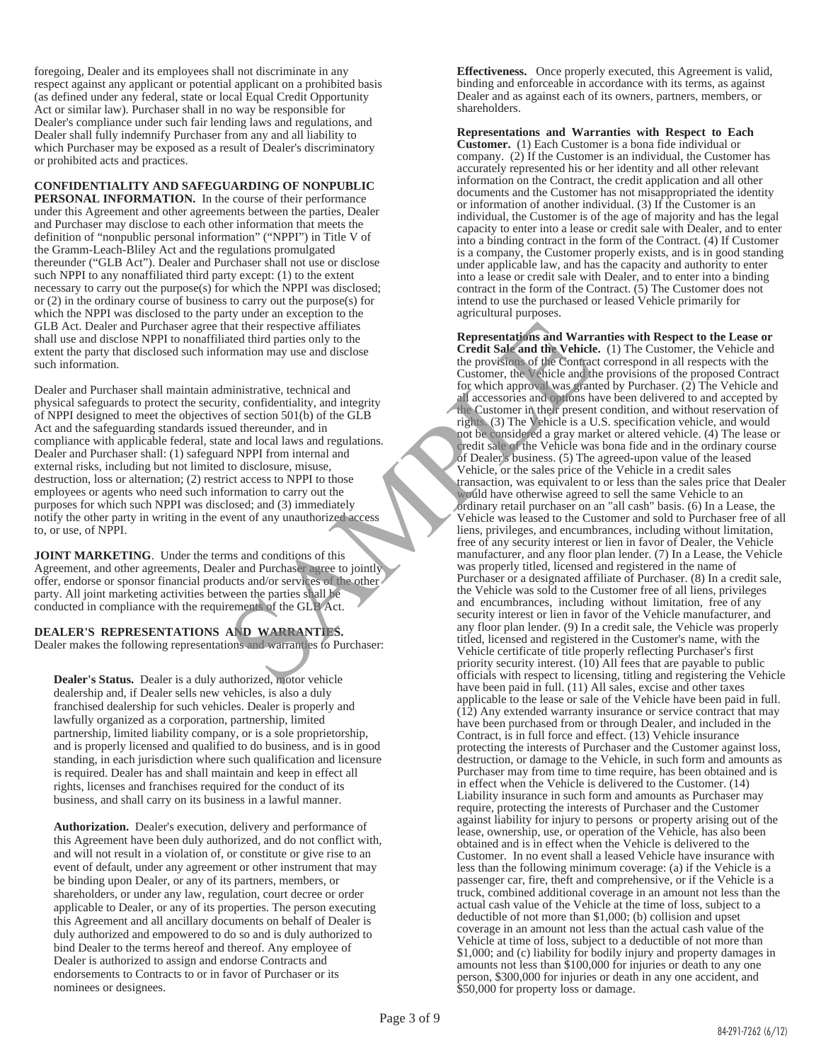foregoing, Dealer and its employees shall not discriminate in any respect against any applicant or potential applicant on a prohibited basis (as defined under any federal, state or local Equal Credit Opportunity Act or similar law). Purchaser shall in no way be responsible for Dealer's compliance under such fair lending laws and regulations, and Dealer shall fully indemnify Purchaser from any and all liability to which Purchaser may be exposed as a result of Dealer's discriminatory or prohibited acts and practices.

**CONFIDENTIALITY AND SAFEGUARDING OF NONPUBLIC** 

**PERSONAL INFORMATION.** In the course of their performance under this Agreement and other agreements between the parties, Dealer and Purchaser may disclose to each other information that meets the definition of "nonpublic personal information" ("NPPI") in Title V of the Gramm-Leach-Bliley Act and the regulations promulgated thereunder ("GLB Act"). Dealer and Purchaser shall not use or disclose such NPPI to any nonaffiliated third party except: (1) to the extent necessary to carry out the purpose(s) for which the NPPI was disclosed; or (2) in the ordinary course of business to carry out the purpose(s) for which the NPPI was disclosed to the party under an exception to the GLB Act. Dealer and Purchaser agree that their respective affiliates shall use and disclose NPPI to nonaffiliated third parties only to the extent the party that disclosed such information may use and disclose such information.

Dealer and Purchaser shall maintain administrative, technical and physical safeguards to protect the security, confidentiality, and integrity of NPPI designed to meet the objectives of section 501(b) of the GLB Act and the safeguarding standards issued thereunder, and in compliance with applicable federal, state and local laws and regulations. Dealer and Purchaser shall: (1) safeguard NPPI from internal and external risks, including but not limited to disclosure, misuse, destruction, loss or alternation; (2) restrict access to NPPI to those employees or agents who need such information to carry out the purposes for which such NPPI was disclosed; and (3) immediately notify the other party in writing in the event of any unauthorized access to, or use, of NPPI.

**JOINT MARKETING**. Under the terms and conditions of this Agreement, and other agreements, Dealer and Purchaser agree to jointly offer, endorse or sponsor financial products and/or services of the other party. All joint marketing activities between the parties shall be conducted in compliance with the requirements of the GLB Act.

**DEALER'S REPRESENTATIONS AND WARRANTIES.**  Dealer makes the following representations and warranties to Purchaser:

**Dealer's Status.** Dealer is a duly authorized, motor vehicle dealership and, if Dealer sells new vehicles, is also a duly franchised dealership for such vehicles. Dealer is properly and lawfully organized as a corporation, partnership, limited partnership, limited liability company, or is a sole proprietorship, and is properly licensed and qualified to do business, and is in good standing, in each jurisdiction where such qualification and licensure is required. Dealer has and shall maintain and keep in effect all rights, licenses and franchises required for the conduct of its business, and shall carry on its business in a lawful manner.

**Authorization.** Dealer's execution, delivery and performance of this Agreement have been duly authorized, and do not conflict with, and will not result in a violation of, or constitute or give rise to an event of default, under any agreement or other instrument that may be binding upon Dealer, or any of its partners, members, or shareholders, or under any law, regulation, court decree or order applicable to Dealer, or any of its properties. The person executing this Agreement and all ancillary documents on behalf of Dealer is duly authorized and empowered to do so and is duly authorized to bind Dealer to the terms hereof and thereof. Any employee of Dealer is authorized to assign and endorse Contracts and endorsements to Contracts to or in favor of Purchaser or its nominees or designees.

**Effectiveness.** Once properly executed, this Agreement is valid, binding and enforceable in accordance with its terms, as against Dealer and as against each of its owners, partners, members, or shareholders.

**Representations and Warranties with Respect to Each Customer.** (1) Each Customer is a bona fide individual or company. (2) If the Customer is an individual, the Customer has accurately represented his or her identity and all other relevant information on the Contract, the credit application and all other documents and the Customer has not misappropriated the identity or information of another individual. (3) If the Customer is an individual, the Customer is of the age of majority and has the legal capacity to enter into a lease or credit sale with Dealer, and to enter into a binding contract in the form of the Contract. (4) If Customer is a company, the Customer properly exists, and is in good standing under applicable law, and has the capacity and authority to enter into a lease or credit sale with Dealer, and to enter into a binding contract in the form of the Contract. (5) The Customer does not intend to use the purchased or leased Vehicle primarily for agricultural purposes.

**Representations and Warranties with Respect to the Lease or Credit Sale and the Vehicle.** (1) The Customer, the Vehicle and the provisions of the Contract correspond in all respects with the Customer, the Vehicle and the provisions of the proposed Contract for which approval was granted by Purchaser. (2) The Vehicle and all accessories and options have been delivered to and accepted by the Customer in their present condition, and without reservation of rights. (3) The Vehicle is a U.S. specification vehicle, and would not be considered a gray market or altered vehicle. (4) The lease or credit sale of the Vehicle was bona fide and in the ordinary course of Dealer's business. (5) The agreed-upon value of the leased Vehicle, or the sales price of the Vehicle in a credit sales transaction, was equivalent to or less than the sales price that Dealer would have otherwise agreed to sell the same Vehicle to an ordinary retail purchaser on an "all cash" basis. (6) In a Lease, the Vehicle was leased to the Customer and sold to Purchaser free of all liens, privileges, and encumbrances, including without limitation, free of any security interest or lien in favor of Dealer, the Vehicle manufacturer, and any floor plan lender. (7) In a Lease, the Vehicle was properly titled, licensed and registered in the name of Purchaser or a designated affiliate of Purchaser. (8) In a credit sale, the Vehicle was sold to the Customer free of all liens, privileges and encumbrances, including without limitation, free of any security interest or lien in favor of the Vehicle manufacturer, and any floor plan lender. (9) In a credit sale, the Vehicle was properly titled, licensed and registered in the Customer's name, with the Vehicle certificate of title properly reflecting Purchaser's first priority security interest.  $(10)$  All fees that are payable to public officials with respect to licensing, titling and registering the Vehicle have been paid in full. (11) All sales, excise and other taxes applicable to the lease or sale of the Vehicle have been paid in full. (12) Any extended warranty insurance or service contract that may have been purchased from or through Dealer, and included in the Contract, is in full force and effect. (13) Vehicle insurance protecting the interests of Purchaser and the Customer against loss, destruction, or damage to the Vehicle, in such form and amounts as Purchaser may from time to time require, has been obtained and is in effect when the Vehicle is delivered to the Customer. (14) Liability insurance in such form and amounts as Purchaser may require, protecting the interests of Purchaser and the Customer against liability for injury to persons or property arising out of the lease, ownership, use, or operation of the Vehicle, has also been obtained and is in effect when the Vehicle is delivered to the Customer. In no event shall a leased Vehicle have insurance with less than the following minimum coverage: (a) if the Vehicle is a passenger car, fire, theft and comprehensive, or if the Vehicle is a truck, combined additional coverage in an amount not less than the actual cash value of the Vehicle at the time of loss, subject to a deductible of not more than \$1,000; (b) collision and upset coverage in an amount not less than the actual cash value of the Vehicle at time of loss, subject to a deductible of not more than \$1,000; and (c) liability for bodily injury and property damages in amounts not less than \$100,000 for injuries or death to any one person, \$300,000 for injuries or death in any one accident, and \$50,000 for property loss or damage. Franchite and their respective affiliates<br>
and their respective affiliates<br>
and their respective affiliates<br>
and the provision of the Customer, the V-hicle and the V-hicle and the<br>
ministrative, technical and<br>
the provisio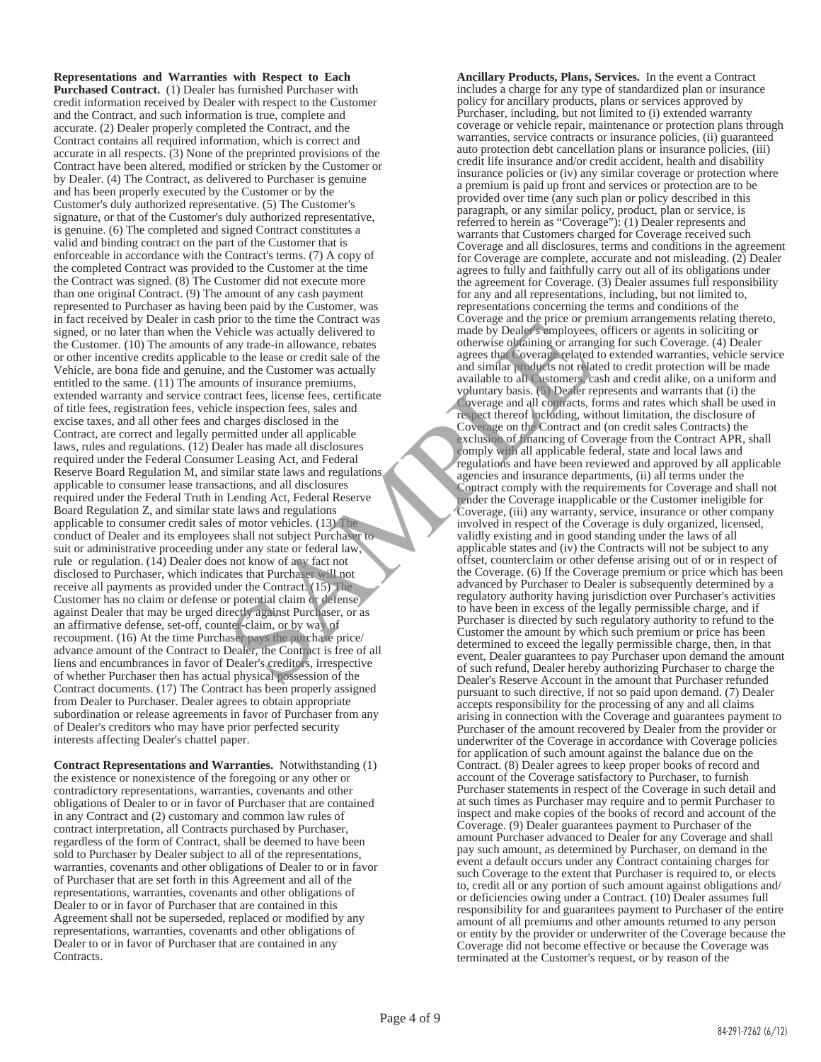**Representations and Warranties with Respect to Each Purchased Contract.** (1) Dealer has furnished Purchaser with credit information received by Dealer with respect to the Customer and the Contract, and such information is true, complete and accurate. (2) Dealer properly completed the Contract, and the Contract contains all required information, which is correct and accurate in all respects. (3) None of the preprinted provisions of the Contract have been altered, modified or stricken by the Customer or by Dealer. (4) The Contract, as delivered to Purchaser is genuine and has been properly executed by the Customer or by the Customer's duly authorized representative. (5) The Customer's signature, or that of the Customer's duly authorized representative, is genuine. (6) The completed and signed Contract constitutes a valid and binding contract on the part of the Customer that is enforceable in accordance with the Contract's terms. (7) A copy of the completed Contract was provided to the Customer at the time the Contract was signed. (8) The Customer did not execute more than one original Contract. (9) The amount of any cash payment represented to Purchaser as having been paid by the Customer, was in fact received by Dealer in cash prior to the time the Contract was signed, or no later than when the Vehicle was actually delivered to the Customer. (10) The amounts of any trade-in allowance, rebates or other incentive credits applicable to the lease or credit sale of the Vehicle, are bona fide and genuine, and the Customer was actually entitled to the same. (11) The amounts of insurance premiums, extended warranty and service contract fees, license fees, certificate of title fees, registration fees, vehicle inspection fees, sales and excise taxes, and all other fees and charges disclosed in the Contract, are correct and legally permitted under all applicable laws, rules and regulations. (12) Dealer has made all disclosures required under the Federal Consumer Leasing Act, and Federal Reserve Board Regulation M, and similar state laws and regulations applicable to consumer lease transactions, and all disclosures required under the Federal Truth in Lending Act, Federal Reserve Board Regulation Z, and similar state laws and regulations applicable to consumer credit sales of motor vehicles. (13) The conduct of Dealer and its employees shall not subject Purchaser to suit or administrative proceeding under any state or federal law, rule or regulation. (14) Dealer does not know of any fact not disclosed to Purchaser, which indicates that Purchaser will not receive all payments as provided under the Contract. (15) The Customer has no claim or defense or potential claim or defense against Dealer that may be urged directly against Purchaser, or as an affirmative defense, set-off, counter-claim, or by way of recoupment. (16) At the time Purchaser pays the purchase price/ advance amount of the Contract to Dealer, the Contract is free of all liens and encumbrances in favor of Dealer's creditors, irrespective of whether Purchaser then has actual physical possession of the Contract documents. (17) The Contract has been properly assigned from Dealer to Purchaser. Dealer agrees to obtain appropriate subordination or release agreements in favor of Purchaser from any of Dealer's creditors who may have prior perfected security interests affecting Dealer's chattel paper. To the time the Contract was contract to the same the contract where the control of the case or redistriction and the Contract and the Contract and the Contract and the Contract and the Contract in the case of the case or

**Contract Representations and Warranties.** Notwithstanding (1) the existence or nonexistence of the foregoing or any other or contradictory representations, warranties, covenants and other obligations of Dealer to or in favor of Purchaser that are contained in any Contract and (2) customary and common law rules of contract interpretation, all Contracts purchased by Purchaser, regardless of the form of Contract, shall be deemed to have been sold to Purchaser by Dealer subject to all of the representations, warranties, covenants and other obligations of Dealer to or in favor of Purchaser that are set forth in this Agreement and all of the representations, warranties, covenants and other obligations of Dealer to or in favor of Purchaser that are contained in this Agreement shall not be superseded, replaced or modified by any representations, warranties, covenants and other obligations of Dealer to or in favor of Purchaser that are contained in any Contracts.

**Ancillary Products, Plans, Services.** In the event a Contract includes a charge for any type of standardized plan or insurance policy for ancillary products, plans or services approved by Purchaser, including, but not limited to (i) extended warranty coverage or vehicle repair, maintenance or protection plans through warranties, service contracts or insurance policies, (ii) guaranteed auto protection debt cancellation plans or insurance policies, (iii) credit life insurance and/or credit accident, health and disability insurance policies or (iv) any similar coverage or protection where a premium is paid up front and services or protection are to be provided over time (any such plan or policy described in this paragraph, or any similar policy, product, plan or service, is referred to herein as "Coverage"): (1) Dealer represents and warrants that Customers charged for Coverage received such Coverage and all disclosures, terms and conditions in the agreement for Coverage are complete, accurate and not misleading. (2) Dealer agrees to fully and faithfully carry out all of its obligations under the agreement for Coverage. (3) Dealer assumes full responsibility for any and all representations, including, but not limited to, representations concerning the terms and conditions of the Coverage and the price or premium arrangements relating thereto, made by Dealer's employees, officers or agents in soliciting or otherwise obtaining or arranging for such Coverage. (4) Dealer agrees that Coverage related to extended warranties, vehicle service and similar products not related to credit protection will be made available to all Customers, cash and credit alike, on a uniform and voluntary basis. (5) Dealer represents and warrants that (i) the Coverage and all contracts, forms and rates which shall be used in respect thereof including, without limitation, the disclosure of Coverage on the Contract and (on credit sales Contracts) the exclusion of financing of Coverage from the Contract APR, shall comply with all applicable federal, state and local laws and regulations and have been reviewed and approved by all applicable agencies and insurance departments, (ii) all terms under the Contract comply with the requirements for Coverage and shall not render the Coverage inapplicable or the Customer ineligible for Coverage, (iii) any warranty, service, insurance or other company involved in respect of the Coverage is duly organized, licensed, validly existing and in good standing under the laws of all applicable states and (iv) the Contracts will not be subject to any offset, counterclaim or other defense arising out of or in respect of the Coverage. (6) If the Coverage premium or price which has been advanced by Purchaser to Dealer is subsequently determined by a regulatory authority having jurisdiction over Purchaser's activities to have been in excess of the legally permissible charge, and if Purchaser is directed by such regulatory authority to refund to the Customer the amount by which such premium or price has been determined to exceed the legally permissible charge, then, in that event, Dealer guarantees to pay Purchaser upon demand the amount of such refund, Dealer hereby authorizing Purchaser to charge the Dealer's Reserve Account in the amount that Purchaser refunded pursuant to such directive, if not so paid upon demand. (7) Dealer accepts responsibility for the processing of any and all claims arising in connection with the Coverage and guarantees payment to Purchaser of the amount recovered by Dealer from the provider or underwriter of the Coverage in accordance with Coverage policies for application of such amount against the balance due on the Contract. (8) Dealer agrees to keep proper books of record and account of the Coverage satisfactory to Purchaser, to furnish Purchaser statements in respect of the Coverage in such detail and at such times as Purchaser may require and to permit Purchaser to inspect and make copies of the books of record and account of the Coverage. (9) Dealer guarantees payment to Purchaser of the amount Purchaser advanced to Dealer for any Coverage and shall pay such amount, as determined by Purchaser, on demand in the event a default occurs under any Contract containing charges for such Coverage to the extent that Purchaser is required to, or elects to, credit all or any portion of such amount against obligations and/ or deficiencies owing under a Contract. (10) Dealer assumes full responsibility for and guarantees payment to Purchaser of the entire amount of all premiums and other amounts returned to any person or entity by the provider or underwriter of the Coverage because the Coverage did not become effective or because the Coverage was terminated at the Customer's request, or by reason of the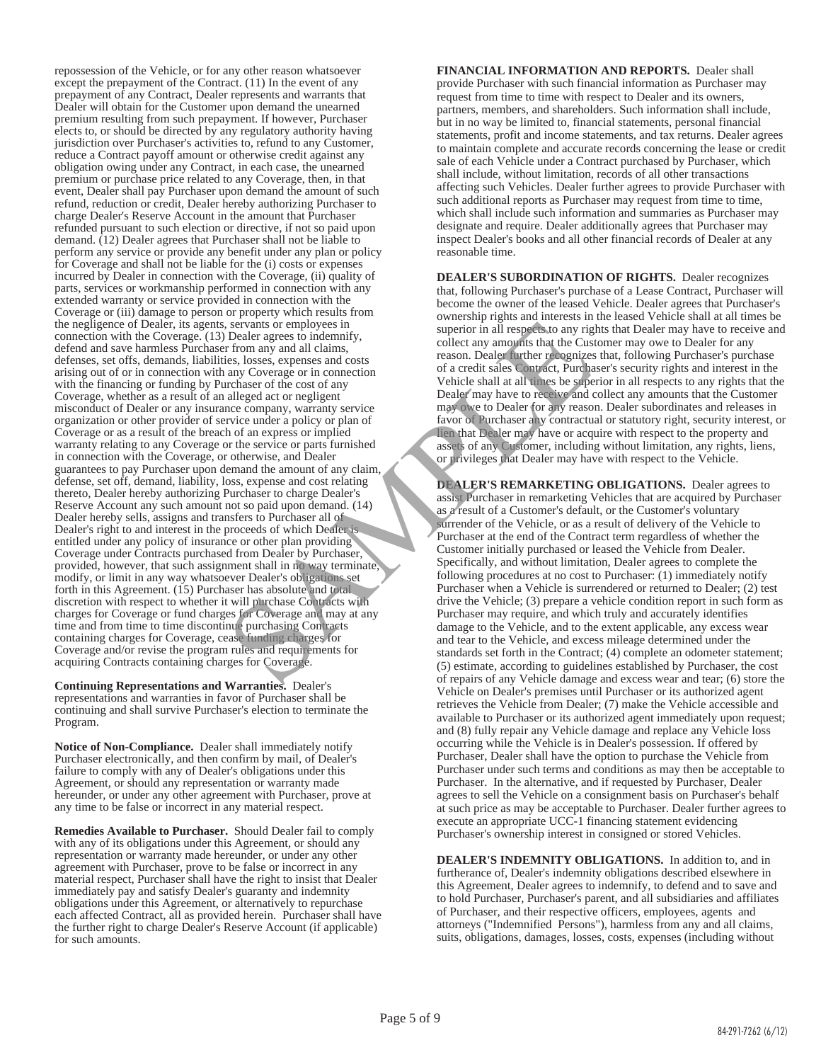repossession of the Vehicle, or for any other reason whatsoever except the prepayment of the Contract. (11) In the event of any prepayment of any Contract, Dealer represents and warrants that Dealer will obtain for the Customer upon demand the unearned premium resulting from such prepayment. If however, Purchaser elects to, or should be directed by any regulatory authority having jurisdiction over Purchaser's activities to, refund to any Customer, reduce a Contract payoff amount or otherwise credit against any obligation owing under any Contract, in each case, the unearned premium or purchase price related to any Coverage, then, in that event, Dealer shall pay Purchaser upon demand the amount of such refund, reduction or credit, Dealer hereby authorizing Purchaser to charge Dealer's Reserve Account in the amount that Purchaser refunded pursuant to such election or directive, if not so paid upon demand. (12) Dealer agrees that Purchaser shall not be liable to perform any service or provide any benefit under any plan or policy for Coverage and shall not be liable for the (i) costs or expenses incurred by Dealer in connection with the Coverage, (ii) quality of parts, services or workmanship performed in connection with any extended warranty or service provided in connection with the Coverage or (iii) damage to person or property which results from the negligence of Dealer, its agents, servants or employees in connection with the Coverage. (13) Dealer agrees to indemnify, defend and save harmless Purchaser from any and all claims, defenses, set offs, demands, liabilities, losses, expenses and costs arising out of or in connection with any Coverage or in connection with the financing or funding by Purchaser of the cost of any Coverage, whether as a result of an alleged act or negligent misconduct of Dealer or any insurance company, warranty service organization or other provider of service under a policy or plan of Coverage or as a result of the breach of an express or implied warranty relating to any Coverage or the service or parts furnished in connection with the Coverage, or otherwise, and Dealer guarantees to pay Purchaser upon demand the amount of any claim, defense, set off, demand, liability, loss, expense and cost relating thereto, Dealer hereby authorizing Purchaser to charge Dealer's Reserve Account any such amount not so paid upon demand. (14) Dealer hereby sells, assigns and transfers to Purchaser all of Dealer's right to and interest in the proceeds of which Dealer is entitled under any policy of insurance or other plan providing Coverage under Contracts purchased from Dealer by Purchaser, provided, however, that such assignment shall in no way terminate, modify, or limit in any way whatsoever Dealer's obligations set forth in this Agreement. (15) Purchaser has absolute and total discretion with respect to whether it will purchase Contracts with charges for Coverage or fund charges for Coverage and may at any time and from time to time discontinue purchasing Contracts containing charges for Coverage, cease funding charges for Coverage and/or revise the program rules and requirements for acquiring Contracts containing charges for Coverage. Sexualis or employees in<br>
Sexualis of employees in the summify, superior in all respects to identify,<br>
The many and all claims,<br>
Scollect any amounts that the Custom any Coverage or in connection<br>
any Coverage or in connec

**Continuing Representations and Warranties.** Dealer's representations and warranties in favor of Purchaser shall be continuing and shall survive Purchaser's election to terminate the Program.

**Notice of Non-Compliance.** Dealer shall immediately notify Purchaser electronically, and then confirm by mail, of Dealer's failure to comply with any of Dealer's obligations under this Agreement, or should any representation or warranty made hereunder, or under any other agreement with Purchaser, prove at any time to be false or incorrect in any material respect.

**Remedies Available to Purchaser.** Should Dealer fail to comply with any of its obligations under this Agreement, or should any representation or warranty made hereunder, or under any other agreement with Purchaser, prove to be false or incorrect in any material respect, Purchaser shall have the right to insist that Dealer immediately pay and satisfy Dealer's guaranty and indemnity obligations under this Agreement, or alternatively to repurchase each affected Contract, all as provided herein. Purchaser shall have the further right to charge Dealer's Reserve Account (if applicable) for such amounts.

**FINANCIAL INFORMATION AND REPORTS.** Dealer shall provide Purchaser with such financial information as Purchaser may request from time to time with respect to Dealer and its owners, partners, members, and shareholders. Such information shall include, but in no way be limited to, financial statements, personal financial statements, profit and income statements, and tax returns. Dealer agrees to maintain complete and accurate records concerning the lease or credit sale of each Vehicle under a Contract purchased by Purchaser, which shall include, without limitation, records of all other transactions affecting such Vehicles. Dealer further agrees to provide Purchaser with such additional reports as Purchaser may request from time to time, which shall include such information and summaries as Purchaser may designate and require. Dealer additionally agrees that Purchaser may inspect Dealer's books and all other financial records of Dealer at any reasonable time.

**DEALER'S SUBORDINATION OF RIGHTS.** Dealer recognizes that, following Purchaser's purchase of a Lease Contract, Purchaser will become the owner of the leased Vehicle. Dealer agrees that Purchaser's ownership rights and interests in the leased Vehicle shall at all times be superior in all respects to any rights that Dealer may have to receive and collect any amounts that the Customer may owe to Dealer for any reason. Dealer further recognizes that, following Purchaser's purchase of a credit sales Contract, Purchaser's security rights and interest in the Vehicle shall at all times be superior in all respects to any rights that the Dealer may have to receive and collect any amounts that the Customer may owe to Dealer for any reason. Dealer subordinates and releases in favor of Purchaser any contractual or statutory right, security interest, or lien that Dealer may have or acquire with respect to the property and assets of any Customer, including without limitation, any rights, liens, or privileges that Dealer may have with respect to the Vehicle.

**DEALER'S REMARKETING OBLIGATIONS.** Dealer agrees to assist Purchaser in remarketing Vehicles that are acquired by Purchaser as a result of a Customer's default, or the Customer's voluntary surrender of the Vehicle, or as a result of delivery of the Vehicle to Purchaser at the end of the Contract term regardless of whether the Customer initially purchased or leased the Vehicle from Dealer. Specifically, and without limitation, Dealer agrees to complete the following procedures at no cost to Purchaser: (1) immediately notify Purchaser when a Vehicle is surrendered or returned to Dealer; (2) test drive the Vehicle; (3) prepare a vehicle condition report in such form as Purchaser may require, and which truly and accurately identifies damage to the Vehicle, and to the extent applicable, any excess wear and tear to the Vehicle, and excess mileage determined under the standards set forth in the Contract; (4) complete an odometer statement; (5) estimate, according to guidelines established by Purchaser, the cost of repairs of any Vehicle damage and excess wear and tear; (6) store the Vehicle on Dealer's premises until Purchaser or its authorized agent retrieves the Vehicle from Dealer; (7) make the Vehicle accessible and available to Purchaser or its authorized agent immediately upon request; and (8) fully repair any Vehicle damage and replace any Vehicle loss occurring while the Vehicle is in Dealer's possession. If offered by Purchaser, Dealer shall have the option to purchase the Vehicle from Purchaser under such terms and conditions as may then be acceptable to Purchaser. In the alternative, and if requested by Purchaser, Dealer agrees to sell the Vehicle on a consignment basis on Purchaser's behalf at such price as may be acceptable to Purchaser. Dealer further agrees to execute an appropriate UCC-1 financing statement evidencing Purchaser's ownership interest in consigned or stored Vehicles.

**DEALER'S INDEMNITY OBLIGATIONS.** In addition to, and in furtherance of, Dealer's indemnity obligations described elsewhere in this Agreement, Dealer agrees to indemnify, to defend and to save and to hold Purchaser, Purchaser's parent, and all subsidiaries and affiliates of Purchaser, and their respective officers, employees, agents and attorneys ("Indemnified Persons"), harmless from any and all claims, suits, obligations, damages, losses, costs, expenses (including without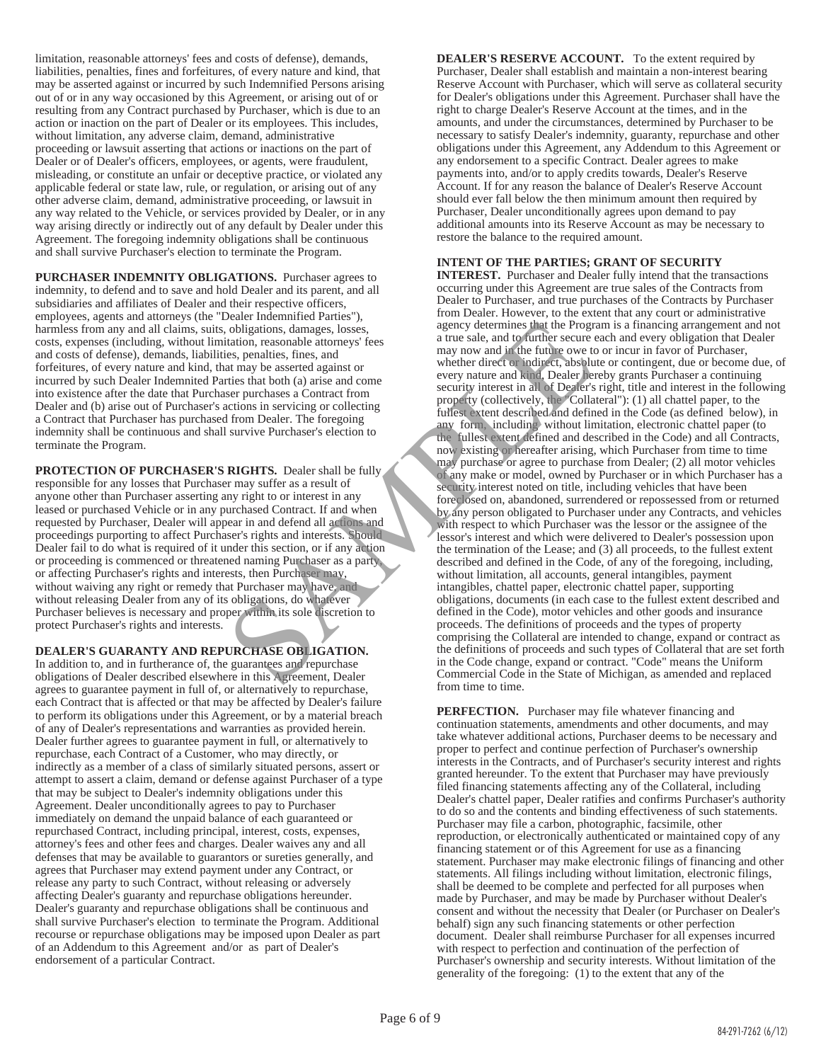limitation, reasonable attorneys' fees and costs of defense), demands, liabilities, penalties, fines and forfeitures, of every nature and kind, that may be asserted against or incurred by such Indemnified Persons arising out of or in any way occasioned by this Agreement, or arising out of or resulting from any Contract purchased by Purchaser, which is due to an action or inaction on the part of Dealer or its employees. This includes, without limitation, any adverse claim, demand, administrative proceeding or lawsuit asserting that actions or inactions on the part of Dealer or of Dealer's officers, employees, or agents, were fraudulent, misleading, or constitute an unfair or deceptive practice, or violated any applicable federal or state law, rule, or regulation, or arising out of any other adverse claim, demand, administrative proceeding, or lawsuit in any way related to the Vehicle, or services provided by Dealer, or in any way arising directly or indirectly out of any default by Dealer under this Agreement. The foregoing indemnity obligations shall be continuous and shall survive Purchaser's election to terminate the Program.

**PURCHASER INDEMNITY OBLIGATIONS.** Purchaser agrees to indemnity, to defend and to save and hold Dealer and its parent, and all subsidiaries and affiliates of Dealer and their respective officers, employees, agents and attorneys (the "Dealer Indemnified Parties"), harmless from any and all claims, suits, obligations, damages, losses, costs, expenses (including, without limitation, reasonable attorneys' fees and costs of defense), demands, liabilities, penalties, fines, and forfeitures, of every nature and kind, that may be asserted against or incurred by such Dealer Indemnited Parties that both (a) arise and come into existence after the date that Purchaser purchases a Contract from Dealer and (b) arise out of Purchaser's actions in servicing or collecting a Contract that Purchaser has purchased from Dealer. The foregoing indemnity shall be continuous and shall survive Purchaser's election to terminate the Program.

**PROTECTION OF PURCHASER'S RIGHTS.** Dealer shall be fully responsible for any losses that Purchaser may suffer as a result of anyone other than Purchaser asserting any right to or interest in any leased or purchased Vehicle or in any purchased Contract. If and when requested by Purchaser, Dealer will appear in and defend all actions and proceedings purporting to affect Purchaser's rights and interests. Should Dealer fail to do what is required of it under this section, or if any action or proceeding is commenced or threatened naming Purchaser as a party, or affecting Purchaser's rights and interests, then Purchaser may, without waiving any right or remedy that Purchaser may have, and without releasing Dealer from any of its obligations, do whatever Purchaser believes is necessary and proper within its sole discretion to protect Purchaser's rights and interests.

## **DEALER'S GUARANTY AND REPURCHASE OBLIGATION.**

In addition to, and in furtherance of, the guarantees and repurchase obligations of Dealer described elsewhere in this Agreement, Dealer agrees to guarantee payment in full of, or alternatively to repurchase, each Contract that is affected or that may be affected by Dealer's failure to perform its obligations under this Agreement, or by a material breach of any of Dealer's representations and warranties as provided herein. Dealer further agrees to guarantee payment in full, or alternatively to repurchase, each Contract of a Customer, who may directly, or indirectly as a member of a class of similarly situated persons, assert or attempt to assert a claim, demand or defense against Purchaser of a type that may be subject to Dealer's indemnity obligations under this Agreement. Dealer unconditionally agrees to pay to Purchaser immediately on demand the unpaid balance of each guaranteed or repurchased Contract, including principal, interest, costs, expenses, attorney's fees and other fees and charges. Dealer waives any and all defenses that may be available to guarantors or sureties generally, and agrees that Purchaser may extend payment under any Contract, or release any party to such Contract, without releasing or adversely affecting Dealer's guaranty and repurchase obligations hereunder. Dealer's guaranty and repurchase obligations shall be continuous and shall survive Purchaser's election to terminate the Program. Additional recourse or repurchase obligations may be imposed upon Dealer as part of an Addendum to this Agreement and/or as part of Dealer's endorsement of a particular Contract.

**DEALER'S RESERVE ACCOUNT.** To the extent required by Purchaser, Dealer shall establish and maintain a non-interest bearing Reserve Account with Purchaser, which will serve as collateral security for Dealer's obligations under this Agreement. Purchaser shall have the right to charge Dealer's Reserve Account at the times, and in the amounts, and under the circumstances, determined by Purchaser to be necessary to satisfy Dealer's indemnity, guaranty, repurchase and other obligations under this Agreement, any Addendum to this Agreement or any endorsement to a specific Contract. Dealer agrees to make payments into, and/or to apply credits towards, Dealer's Reserve Account. If for any reason the balance of Dealer's Reserve Account should ever fall below the then minimum amount then required by Purchaser, Dealer unconditionally agrees upon demand to pay additional amounts into its Reserve Account as may be necessary to restore the balance to the required amount.

## **INTENT OF THE PARTIES; GRANT OF SECURITY**

**INTEREST.** Purchaser and Dealer fully intend that the transactions occurring under this Agreement are true sales of the Contracts from Dealer to Purchaser, and true purchases of the Contracts by Purchaser from Dealer. However, to the extent that any court or administrative agency determines that the Program is a financing arrangement and not a true sale, and to further secure each and every obligation that Dealer may now and in the future owe to or incur in favor of Purchaser, whether direct or indirect, absolute or contingent, due or become due, of every nature and kind, Dealer hereby grants Purchaser a continuing security interest in all of Dealer's right, title and interest in the following property (collectively, the "Collateral"): (1) all chattel paper, to the fullest extent described and defined in the Code (as defined below), in any form, including without limitation, electronic chattel paper (to the fullest extent defined and described in the Code) and all Contracts, now existing or hereafter arising, which Purchaser from time to time may purchase or agree to purchase from Dealer; (2) all motor vehicles of any make or model, owned by Purchaser or in which Purchaser has a security interest noted on title, including vehicles that have been foreclosed on, abandoned, surrendered or repossessed from or returned by any person obligated to Purchaser under any Contracts, and vehicles with respect to which Purchaser was the lessor or the assignee of the lessor's interest and which were delivered to Dealer's possession upon the termination of the Lease; and (3) all proceeds, to the fullest extent described and defined in the Code, of any of the foregoing, including, without limitation, all accounts, general intangibles, payment intangibles, chattel paper, electronic chattel paper, supporting obligations, documents (in each case to the fullest extent described and defined in the Code), motor vehicles and other goods and insurance proceeds. The definitions of proceeds and the types of property comprising the Collateral are intended to change, expand or contract as the definitions of proceeds and such types of Collateral that are set forth in the Code change, expand or contract. "Code" means the Uniform Commercial Code in the State of Michigan, as amended and replaced from time to time. Columented and the state of the scene of the scene and the scene of the scene and the scene and the scene and the scene and the scene and the scene of the scene of the scene of the scene of the scene of the scene of the sc

> **PERFECTION.** Purchaser may file whatever financing and continuation statements, amendments and other documents, and may take whatever additional actions, Purchaser deems to be necessary and proper to perfect and continue perfection of Purchaser's ownership interests in the Contracts, and of Purchaser's security interest and rights granted hereunder. To the extent that Purchaser may have previously filed financing statements affecting any of the Collateral, including Dealer's chattel paper, Dealer ratifies and confirms Purchaser's authority to do so and the contents and binding effectiveness of such statements. Purchaser may file a carbon, photographic, facsimile, other reproduction, or electronically authenticated or maintained copy of any financing statement or of this Agreement for use as a financing statement. Purchaser may make electronic filings of financing and other statements. All filings including without limitation, electronic filings, shall be deemed to be complete and perfected for all purposes when made by Purchaser, and may be made by Purchaser without Dealer's consent and without the necessity that Dealer (or Purchaser on Dealer's behalf) sign any such financing statements or other perfection document. Dealer shall reimburse Purchaser for all expenses incurred with respect to perfection and continuation of the perfection of Purchaser's ownership and security interests. Without limitation of the generality of the foregoing: (1) to the extent that any of the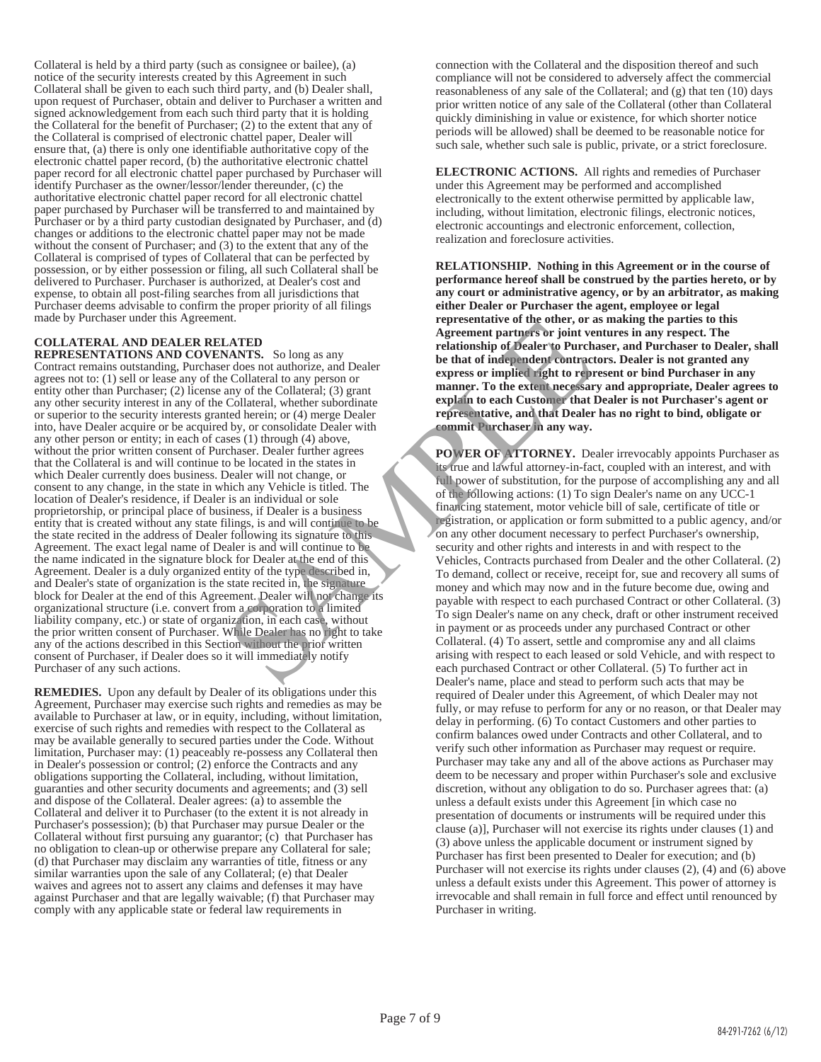Collateral is held by a third party (such as consignee or bailee), (a) notice of the security interests created by this Agreement in such Collateral shall be given to each such third party, and (b) Dealer shall, upon request of Purchaser, obtain and deliver to Purchaser a written and signed acknowledgement from each such third party that it is holding the Collateral for the benefit of Purchaser; (2) to the extent that any of the Collateral is comprised of electronic chattel paper, Dealer will ensure that, (a) there is only one identifiable authoritative copy of the electronic chattel paper record, (b) the authoritative electronic chattel paper record for all electronic chattel paper purchased by Purchaser will identify Purchaser as the owner/lessor/lender thereunder, (c) the authoritative electronic chattel paper record for all electronic chattel paper purchased by Purchaser will be transferred to and maintained by Purchaser or by a third party custodian designated by Purchaser, and (d) changes or additions to the electronic chattel paper may not be made without the consent of Purchaser; and (3) to the extent that any of the Collateral is comprised of types of Collateral that can be perfected by possession, or by either possession or filing, all such Collateral shall be delivered to Purchaser. Purchaser is authorized, at Dealer's cost and expense, to obtain all post-filing searches from all jurisdictions that Purchaser deems advisable to confirm the proper priority of all filings made by Purchaser under this Agreement.

## **COLLATERAL AND DEALER RELATED**

**REPRESENTATIONS AND COVENANTS.** So long as any Contract remains outstanding, Purchaser does not authorize, and Dealer agrees not to: (1) sell or lease any of the Collateral to any person or entity other than Purchaser; (2) license any of the Collateral; (3) grant any other security interest in any of the Collateral, whether subordinate or superior to the security interests granted herein; or (4) merge Dealer into, have Dealer acquire or be acquired by, or consolidate Dealer with any other person or entity; in each of cases (1) through (4) above, without the prior written consent of Purchaser. Dealer further agrees that the Collateral is and will continue to be located in the states in which Dealer currently does business. Dealer will not change, or consent to any change, in the state in which any Vehicle is titled. The location of Dealer's residence, if Dealer is an individual or sole proprietorship, or principal place of business, if Dealer is a business entity that is created without any state filings, is and will continue to be the state recited in the address of Dealer following its signature to this Agreement. The exact legal name of Dealer is and will continue to be the name indicated in the signature block for Dealer at the end of this Agreement. Dealer is a duly organized entity of the type described in, and Dealer's state of organization is the state recited in, the signature block for Dealer at the end of this Agreement. Dealer will not change its organizational structure (i.e. convert from a corporation to a limited liability company, etc.) or state of organization, in each case, without the prior written consent of Purchaser. While Dealer has no right to take any of the actions described in this Section without the prior written consent of Purchaser, if Dealer does so it will immediately notify Purchaser of any such actions. The collared to the other control and the collared to the same of the presentative of the collared to the collared to the collared to the collared to the collared to the collared to the collared to the collared to the coll

**REMEDIES.** Upon any default by Dealer of its obligations under this Agreement, Purchaser may exercise such rights and remedies as may be available to Purchaser at law, or in equity, including, without limitation, exercise of such rights and remedies with respect to the Collateral as may be available generally to secured parties under the Code. Without limitation, Purchaser may: (1) peaceably re-possess any Collateral then in Dealer's possession or control; (2) enforce the Contracts and any obligations supporting the Collateral, including, without limitation, guaranties and other security documents and agreements; and (3) sell and dispose of the Collateral. Dealer agrees: (a) to assemble the Collateral and deliver it to Purchaser (to the extent it is not already in Purchaser's possession); (b) that Purchaser may pursue Dealer or the Collateral without first pursuing any guarantor; (c) that Purchaser has no obligation to clean-up or otherwise prepare any Collateral for sale; (d) that Purchaser may disclaim any warranties of title, fitness or any similar warranties upon the sale of any Collateral; (e) that Dealer waives and agrees not to assert any claims and defenses it may have against Purchaser and that are legally waivable; (f) that Purchaser may comply with any applicable state or federal law requirements in

connection with the Collateral and the disposition thereof and such compliance will not be considered to adversely affect the commercial reasonableness of any sale of the Collateral; and (g) that ten (10) days prior written notice of any sale of the Collateral (other than Collateral quickly diminishing in value or existence, for which shorter notice periods will be allowed) shall be deemed to be reasonable notice for such sale, whether such sale is public, private, or a strict foreclosure.

**ELECTRONIC ACTIONS.** All rights and remedies of Purchaser under this Agreement may be performed and accomplished electronically to the extent otherwise permitted by applicable law, including, without limitation, electronic filings, electronic notices, electronic accountings and electronic enforcement, collection, realization and foreclosure activities.

**RELATIONSHIP. Nothing in this Agreement or in the course of performance hereof shall be construed by the parties hereto, or by any court or administrative agency, or by an arbitrator, as making either Dealer or Purchaser the agent, employee or legal representative of the other, or as making the parties to this Agreement partners or joint ventures in any respect. The relationship of Dealer to Purchaser, and Purchaser to Dealer, shall be that of independent contractors. Dealer is not granted any express or implied right to represent or bind Purchaser in any manner. To the extent necessary and appropriate, Dealer agrees to explain to each Customer that Dealer is not Purchaser's agent or representative, and that Dealer has no right to bind, obligate or commit Purchaser in any way.** 

 **POWER OF ATTORNEY.** Dealer irrevocably appoints Purchaser as its true and lawful attorney-in-fact, coupled with an interest, and with full power of substitution, for the purpose of accomplishing any and all of the following actions: (1) To sign Dealer's name on any UCC-1 financing statement, motor vehicle bill of sale, certificate of title or registration, or application or form submitted to a public agency, and/or on any other document necessary to perfect Purchaser's ownership, security and other rights and interests in and with respect to the Vehicles, Contracts purchased from Dealer and the other Collateral. (2) To demand, collect or receive, receipt for, sue and recovery all sums of money and which may now and in the future become due, owing and payable with respect to each purchased Contract or other Collateral. (3) To sign Dealer's name on any check, draft or other instrument received in payment or as proceeds under any purchased Contract or other Collateral. (4) To assert, settle and compromise any and all claims arising with respect to each leased or sold Vehicle, and with respect to each purchased Contract or other Collateral. (5) To further act in Dealer's name, place and stead to perform such acts that may be required of Dealer under this Agreement, of which Dealer may not fully, or may refuse to perform for any or no reason, or that Dealer may delay in performing. (6) To contact Customers and other parties to confirm balances owed under Contracts and other Collateral, and to verify such other information as Purchaser may request or require. Purchaser may take any and all of the above actions as Purchaser may deem to be necessary and proper within Purchaser's sole and exclusive discretion, without any obligation to do so. Purchaser agrees that: (a) unless a default exists under this Agreement [in which case no presentation of documents or instruments will be required under this clause (a)], Purchaser will not exercise its rights under clauses (1) and (3) above unless the applicable document or instrument signed by Purchaser has first been presented to Dealer for execution; and (b) Purchaser will not exercise its rights under clauses (2), (4) and (6) above unless a default exists under this Agreement. This power of attorney is irrevocable and shall remain in full force and effect until renounced by Purchaser in writing.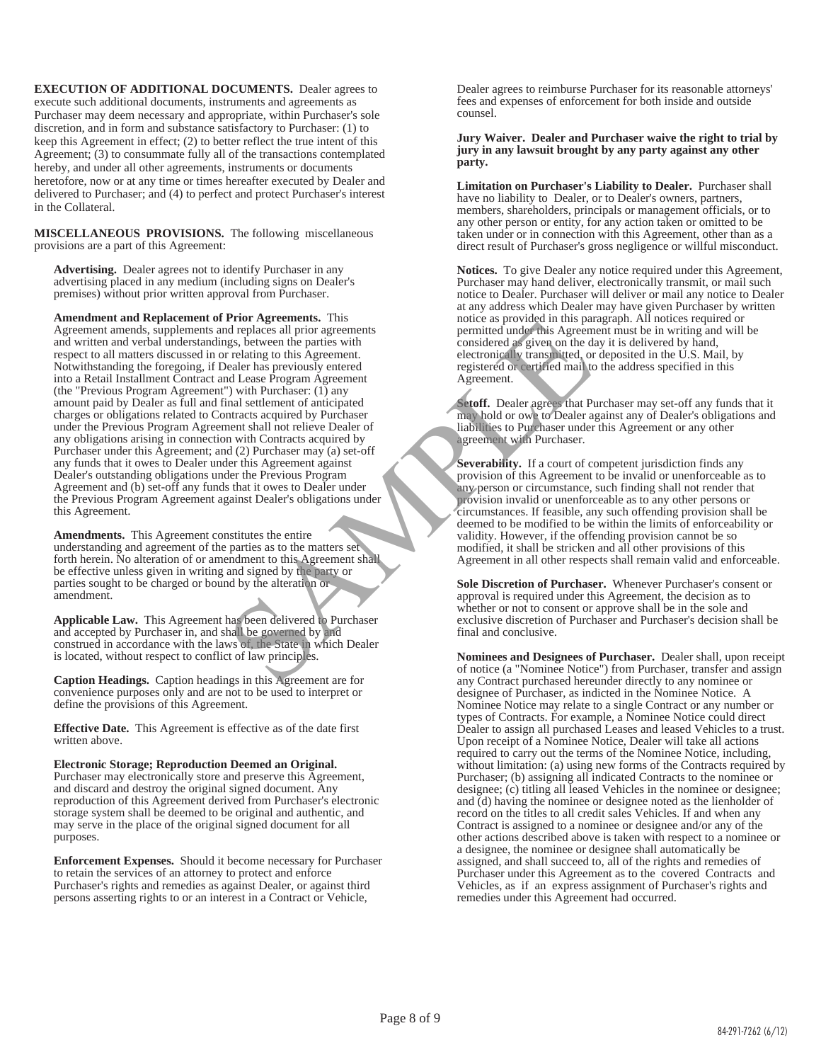**EXECUTION OF ADDITIONAL DOCUMENTS.** Dealer agrees to execute such additional documents, instruments and agreements as Purchaser may deem necessary and appropriate, within Purchaser's sole discretion, and in form and substance satisfactory to Purchaser: (1) to keep this Agreement in effect; (2) to better reflect the true intent of this Agreement; (3) to consummate fully all of the transactions contemplated hereby, and under all other agreements, instruments or documents heretofore, now or at any time or times hereafter executed by Dealer and delivered to Purchaser; and (4) to perfect and protect Purchaser's interest in the Collateral.

**MISCELLANEOUS PROVISIONS.** The following miscellaneous provisions are a part of this Agreement:

**Advertising.** Dealer agrees not to identify Purchaser in any advertising placed in any medium (including signs on Dealer's premises) without prior written approval from Purchaser.

**Amendment and Replacement of Prior Agreements.** This Agreement amends, supplements and replaces all prior agreements and written and verbal understandings, between the parties with respect to all matters discussed in or relating to this Agreement. Notwithstanding the foregoing, if Dealer has previously entered into a Retail Installment Contract and Lease Program Agreement (the "Previous Program Agreement") with Purchaser: (1) any amount paid by Dealer as full and final settlement of anticipated charges or obligations related to Contracts acquired by Purchaser under the Previous Program Agreement shall not relieve Dealer of any obligations arising in connection with Contracts acquired by Purchaser under this Agreement; and (2) Purchaser may (a) set-off any funds that it owes to Dealer under this Agreement against Dealer's outstanding obligations under the Previous Program Agreement and (b) set-off any funds that it owes to Dealer under the Previous Program Agreement against Dealer's obligations under this Agreement. From Agreements. This particular and the particular and the state of the particular and the particular and the particular and the particular and the selection of the selection of the selection of the alternation of the dec

**Amendments.** This Agreement constitutes the entire understanding and agreement of the parties as to the matters set forth herein. No alteration of or amendment to this Agreement shall be effective unless given in writing and signed by the party or parties sought to be charged or bound by the alteration or amendment.

**Applicable Law.** This Agreement has been delivered to Purchaser and accepted by Purchaser in, and shall be governed by and construed in accordance with the laws of, the State in which Dealer is located, without respect to conflict of law principles.

**Caption Headings.** Caption headings in this Agreement are for convenience purposes only and are not to be used to interpret or define the provisions of this Agreement.

**Effective Date.** This Agreement is effective as of the date first written above.

**Electronic Storage; Reproduction Deemed an Original.**  Purchaser may electronically store and preserve this Agreement, and discard and destroy the original signed document. Any reproduction of this Agreement derived from Purchaser's electronic storage system shall be deemed to be original and authentic, and may serve in the place of the original signed document for all purposes.

**Enforcement Expenses.** Should it become necessary for Purchaser to retain the services of an attorney to protect and enforce Purchaser's rights and remedies as against Dealer, or against third persons asserting rights to or an interest in a Contract or Vehicle,

Dealer agrees to reimburse Purchaser for its reasonable attorneys' fees and expenses of enforcement for both inside and outside counsel.

#### **Jury Waiver. Dealer and Purchaser waive the right to trial by jury in any lawsuit brought by any party against any other party.**

**Limitation on Purchaser's Liability to Dealer.** Purchaser shall have no liability to Dealer, or to Dealer's owners, partners, members, shareholders, principals or management officials, or to any other person or entity, for any action taken or omitted to be taken under or in connection with this Agreement, other than as a direct result of Purchaser's gross negligence or willful misconduct.

**Notices.** To give Dealer any notice required under this Agreement, Purchaser may hand deliver, electronically transmit, or mail such notice to Dealer. Purchaser will deliver or mail any notice to Dealer at any address which Dealer may have given Purchaser by written notice as provided in this paragraph. All notices required or permitted under this Agreement must be in writing and will be considered as given on the day it is delivered by hand, electronically transmitted, or deposited in the U.S. Mail, by registered or certified mail to the address specified in this Agreement.

**Setoff.** Dealer agrees that Purchaser may set-off any funds that it may hold or owe to Dealer against any of Dealer's obligations and liabilities to Purchaser under this Agreement or any other agreement with Purchaser.

**Severability.** If a court of competent jurisdiction finds any provision of this Agreement to be invalid or unenforceable as to any person or circumstance, such finding shall not render that provision invalid or unenforceable as to any other persons or circumstances. If feasible, any such offending provision shall be deemed to be modified to be within the limits of enforceability or validity. However, if the offending provision cannot be so modified, it shall be stricken and all other provisions of this Agreement in all other respects shall remain valid and enforceable.

**Sole Discretion of Purchaser.** Whenever Purchaser's consent or approval is required under this Agreement, the decision as to whether or not to consent or approve shall be in the sole and exclusive discretion of Purchaser and Purchaser's decision shall be final and conclusive.

**Nominees and Designees of Purchaser.** Dealer shall, upon receipt of notice (a "Nominee Notice") from Purchaser, transfer and assign any Contract purchased hereunder directly to any nominee or designee of Purchaser, as indicted in the Nominee Notice. A Nominee Notice may relate to a single Contract or any number or types of Contracts. For example, a Nominee Notice could direct Dealer to assign all purchased Leases and leased Vehicles to a trust. Upon receipt of a Nominee Notice, Dealer will take all actions required to carry out the terms of the Nominee Notice, including, without limitation: (a) using new forms of the Contracts required by Purchaser; (b) assigning all indicated Contracts to the nominee or designee; (c) titling all leased Vehicles in the nominee or designee; and (d) having the nominee or designee noted as the lienholder of record on the titles to all credit sales Vehicles. If and when any Contract is assigned to a nominee or designee and/or any of the other actions described above is taken with respect to a nominee or a designee, the nominee or designee shall automatically be assigned, and shall succeed to, all of the rights and remedies of Purchaser under this Agreement as to the covered Contracts and Vehicles, as if an express assignment of Purchaser's rights and remedies under this Agreement had occurred.